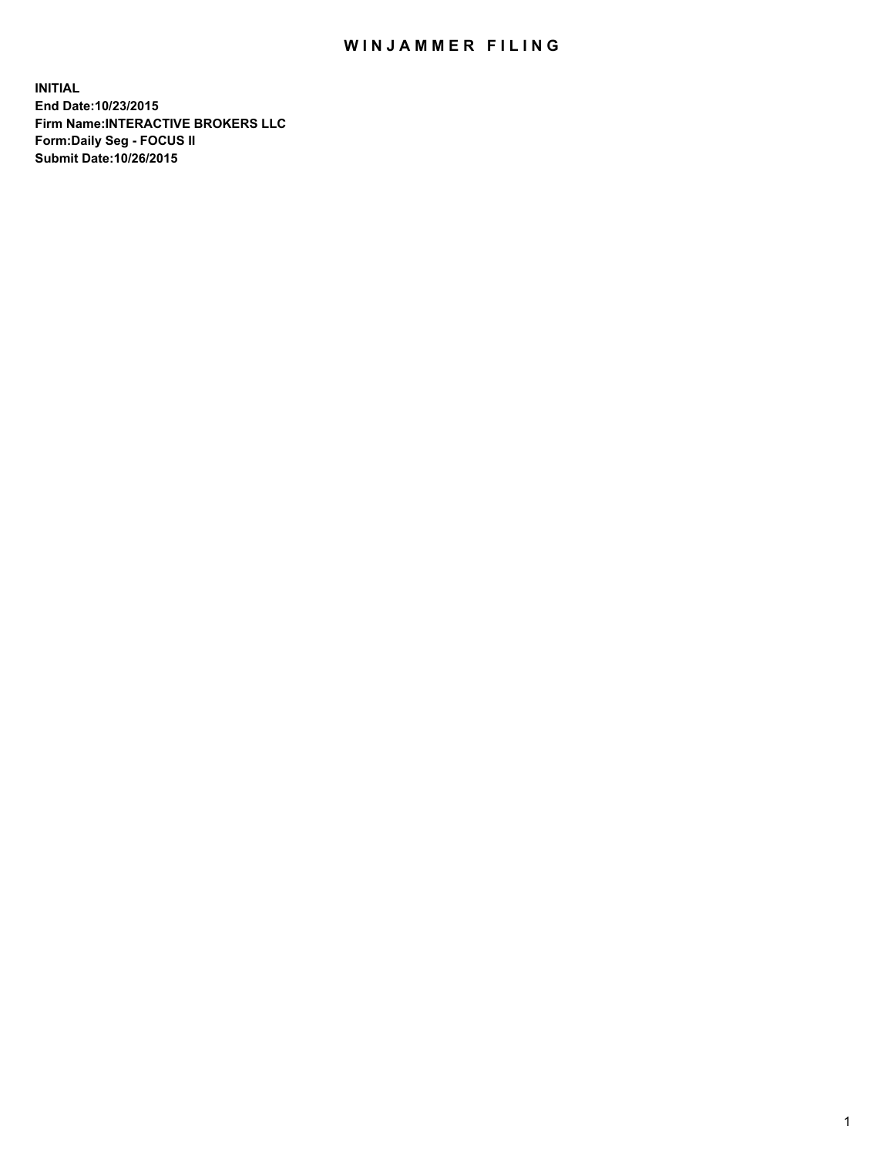## WIN JAMMER FILING

**INITIAL End Date:10/23/2015 Firm Name:INTERACTIVE BROKERS LLC Form:Daily Seg - FOCUS II Submit Date:10/26/2015**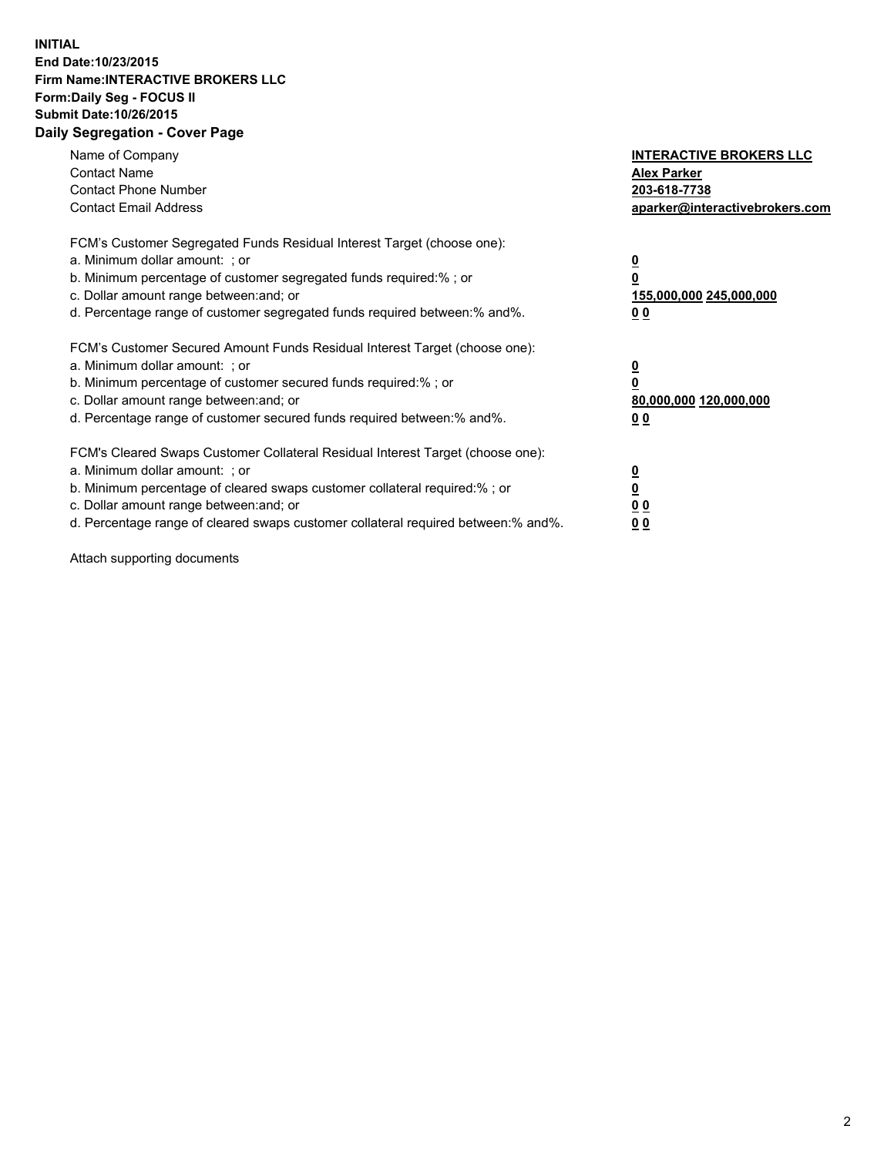## **INITIAL End Date:10/23/2015 Firm Name:INTERACTIVE BROKERS LLC Form:Daily Seg - FOCUS II Submit Date:10/26/2015 Daily Segregation - Cover Page**

| Name of Company<br><b>Contact Name</b><br><b>Contact Phone Number</b><br><b>Contact Email Address</b>                                                                                                                                                                                                                          | <b>INTERACTIVE BROKERS LLC</b><br><b>Alex Parker</b><br>203-618-7738<br>aparker@interactivebrokers.com |
|--------------------------------------------------------------------------------------------------------------------------------------------------------------------------------------------------------------------------------------------------------------------------------------------------------------------------------|--------------------------------------------------------------------------------------------------------|
| FCM's Customer Segregated Funds Residual Interest Target (choose one):<br>a. Minimum dollar amount: ; or<br>b. Minimum percentage of customer segregated funds required:% ; or<br>c. Dollar amount range between: and; or<br>d. Percentage range of customer segregated funds required between:% and%.                         | <u>0</u><br><u>155,000,000 245,000,000</u><br>00                                                       |
| FCM's Customer Secured Amount Funds Residual Interest Target (choose one):<br>a. Minimum dollar amount: ; or<br>b. Minimum percentage of customer secured funds required:%; or<br>c. Dollar amount range between: and; or<br>d. Percentage range of customer secured funds required between: % and %.                          | <u>0</u><br>80,000,000 120,000,000<br>0 <sub>0</sub>                                                   |
| FCM's Cleared Swaps Customer Collateral Residual Interest Target (choose one):<br>a. Minimum dollar amount: ; or<br>b. Minimum percentage of cleared swaps customer collateral required:% ; or<br>c. Dollar amount range between: and; or<br>d. Percentage range of cleared swaps customer collateral required between:% and%. | <u>0</u><br>0 <sub>0</sub><br><u>0 0</u>                                                               |

Attach supporting documents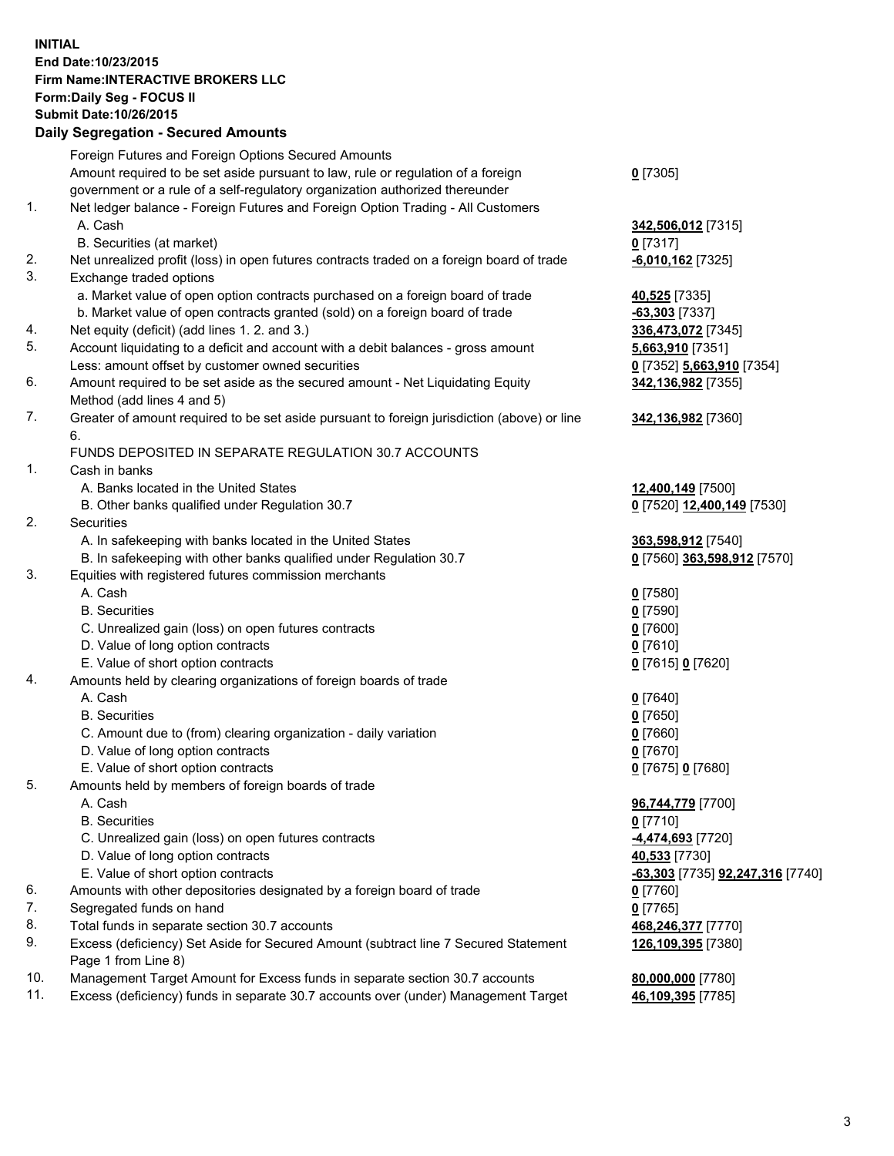## **INITIAL End Date:10/23/2015 Firm Name:INTERACTIVE BROKERS LLC Form:Daily Seg - FOCUS II Submit Date:10/26/2015 Daily Segregation - Secured Amounts**

|                | Daily Jegiegation - Jeculed Alliounts                                                                      |                                  |
|----------------|------------------------------------------------------------------------------------------------------------|----------------------------------|
|                | Foreign Futures and Foreign Options Secured Amounts                                                        |                                  |
|                | Amount required to be set aside pursuant to law, rule or regulation of a foreign                           | $0$ [7305]                       |
|                | government or a rule of a self-regulatory organization authorized thereunder                               |                                  |
| 1.             | Net ledger balance - Foreign Futures and Foreign Option Trading - All Customers                            |                                  |
|                | A. Cash                                                                                                    | 342,506,012 [7315]               |
|                | B. Securities (at market)                                                                                  | $0$ [7317]                       |
| 2.             | Net unrealized profit (loss) in open futures contracts traded on a foreign board of trade                  | $-6,010,162$ [7325]              |
| 3.             | Exchange traded options                                                                                    |                                  |
|                | a. Market value of open option contracts purchased on a foreign board of trade                             | 40,525 [7335]                    |
|                | b. Market value of open contracts granted (sold) on a foreign board of trade                               | $-63,303$ [7337]                 |
| 4.             | Net equity (deficit) (add lines 1. 2. and 3.)                                                              |                                  |
| 5.             |                                                                                                            | 336,473,072 [7345]               |
|                | Account liquidating to a deficit and account with a debit balances - gross amount                          | 5,663,910 [7351]                 |
|                | Less: amount offset by customer owned securities                                                           | 0 [7352] 5,663,910 [7354]        |
| 6.             | Amount required to be set aside as the secured amount - Net Liquidating Equity                             | 342,136,982 [7355]               |
|                | Method (add lines 4 and 5)                                                                                 |                                  |
| 7.             | Greater of amount required to be set aside pursuant to foreign jurisdiction (above) or line                | 342,136,982 [7360]               |
|                | 6.                                                                                                         |                                  |
|                | FUNDS DEPOSITED IN SEPARATE REGULATION 30.7 ACCOUNTS                                                       |                                  |
| $\mathbf{1}$ . | Cash in banks                                                                                              |                                  |
|                | A. Banks located in the United States                                                                      | 12,400,149 [7500]                |
|                | B. Other banks qualified under Regulation 30.7                                                             | 0 [7520] 12,400,149 [7530]       |
| 2.             | Securities                                                                                                 |                                  |
|                | A. In safekeeping with banks located in the United States                                                  | 363,598,912 [7540]               |
|                | B. In safekeeping with other banks qualified under Regulation 30.7                                         | 0 [7560] 363,598,912 [7570]      |
| 3.             | Equities with registered futures commission merchants                                                      |                                  |
|                | A. Cash                                                                                                    | $0$ [7580]                       |
|                | <b>B.</b> Securities                                                                                       | $0$ [7590]                       |
|                | C. Unrealized gain (loss) on open futures contracts                                                        | $0$ [7600]                       |
|                | D. Value of long option contracts                                                                          | $0$ [7610]                       |
|                | E. Value of short option contracts                                                                         | 0 [7615] 0 [7620]                |
| 4.             | Amounts held by clearing organizations of foreign boards of trade                                          |                                  |
|                | A. Cash                                                                                                    | $0$ [7640]                       |
|                | <b>B.</b> Securities                                                                                       | $0$ [7650]                       |
|                | C. Amount due to (from) clearing organization - daily variation                                            | $0$ [7660]                       |
|                | D. Value of long option contracts                                                                          | $0$ [7670]                       |
|                | E. Value of short option contracts                                                                         | 0 [7675] 0 [7680]                |
| 5.             | Amounts held by members of foreign boards of trade                                                         |                                  |
|                | A. Cash                                                                                                    | 96,744,779 [7700]                |
|                | <b>B.</b> Securities                                                                                       | $0$ [7710]                       |
|                | C. Unrealized gain (loss) on open futures contracts                                                        | <u>-4,474,693</u> [7720]         |
|                | D. Value of long option contracts                                                                          | 40,533 [7730]                    |
|                | E. Value of short option contracts                                                                         | -63,303 [7735] 92,247,316 [7740] |
| 6.             | Amounts with other depositories designated by a foreign board of trade                                     | 0 [7760]                         |
| 7.             | Segregated funds on hand                                                                                   | $0$ [7765]                       |
| 8.             | Total funds in separate section 30.7 accounts                                                              | 468,246,377 [7770]               |
| 9.             |                                                                                                            |                                  |
|                | Excess (deficiency) Set Aside for Secured Amount (subtract line 7 Secured Statement<br>Page 1 from Line 8) | 126,109,395 [7380]               |
| 10.            |                                                                                                            |                                  |
|                | Management Target Amount for Excess funds in separate section 30.7 accounts                                | 80,000,000 [7780]                |
| 11.            | Excess (deficiency) funds in separate 30.7 accounts over (under) Management Target                         | 46,109,395 [7785]                |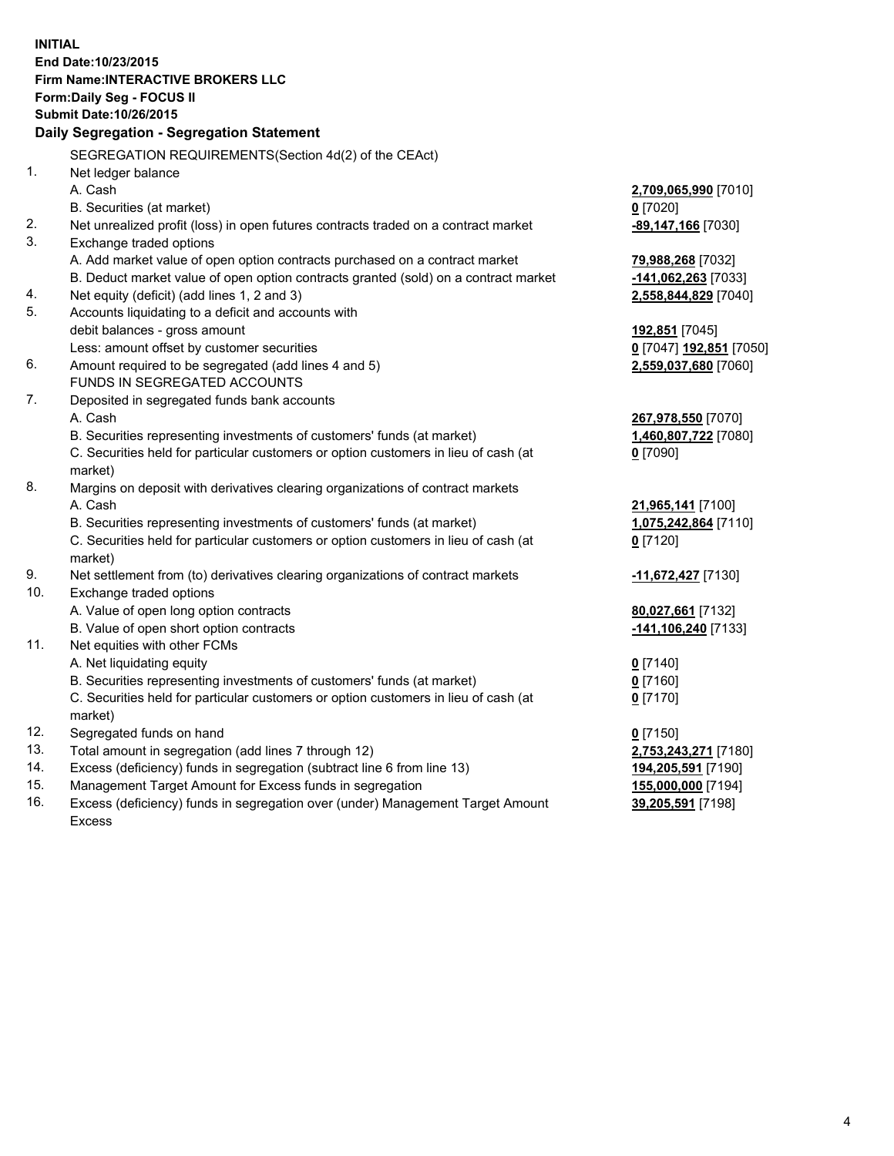**INITIAL End Date:10/23/2015 Firm Name:INTERACTIVE BROKERS LLC Form:Daily Seg - FOCUS II Submit Date:10/26/2015 Daily Segregation - Segregation Statement** SEGREGATION REQUIREMENTS(Section 4d(2) of the CEAct) 1. Net ledger balance A. Cash **2,709,065,990** [7010] B. Securities (at market) **0** [7020] 2. Net unrealized profit (loss) in open futures contracts traded on a contract market **-89,147,166** [7030] 3. Exchange traded options A. Add market value of open option contracts purchased on a contract market **79,988,268** [7032] B. Deduct market value of open option contracts granted (sold) on a contract market **-141,062,263** [7033] 4. Net equity (deficit) (add lines 1, 2 and 3) **2,558,844,829** [7040] 5. Accounts liquidating to a deficit and accounts with debit balances - gross amount **192,851** [7045] Less: amount offset by customer securities **0** [7047] **192,851** [7050] 6. Amount required to be segregated (add lines 4 and 5) **2,559,037,680** [7060] FUNDS IN SEGREGATED ACCOUNTS 7. Deposited in segregated funds bank accounts A. Cash **267,978,550** [7070] B. Securities representing investments of customers' funds (at market) **1,460,807,722** [7080] C. Securities held for particular customers or option customers in lieu of cash (at market) **0** [7090] 8. Margins on deposit with derivatives clearing organizations of contract markets A. Cash **21,965,141** [7100] B. Securities representing investments of customers' funds (at market) **1,075,242,864** [7110] C. Securities held for particular customers or option customers in lieu of cash (at market) **0** [7120] 9. Net settlement from (to) derivatives clearing organizations of contract markets **-11,672,427** [7130] 10. Exchange traded options A. Value of open long option contracts **80,027,661** [7132] B. Value of open short option contracts **-141,106,240** [7133] 11. Net equities with other FCMs A. Net liquidating equity **0** [7140] B. Securities representing investments of customers' funds (at market) **0** [7160] C. Securities held for particular customers or option customers in lieu of cash (at market) **0** [7170] 12. Segregated funds on hand **0** [7150] 13. Total amount in segregation (add lines 7 through 12) **2,753,243,271** [7180] 14. Excess (deficiency) funds in segregation (subtract line 6 from line 13) **194,205,591** [7190] 15. Management Target Amount for Excess funds in segregation **155,000,000** [7194] **39,205,591** [7198]

16. Excess (deficiency) funds in segregation over (under) Management Target Amount Excess